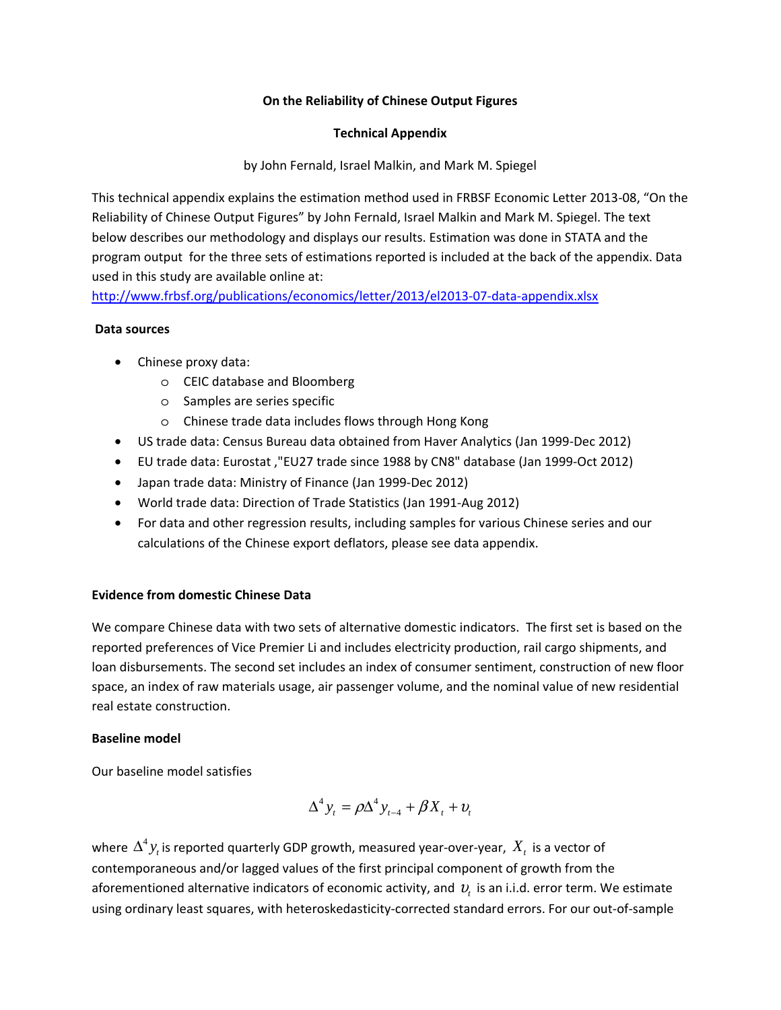### **On the Reliability of Chinese Output Figures**

### **Technical Appendix**

by John Fernald, Israel Malkin, and Mark M. Spiegel

This technical appendix explains the estimation method used in FRBSF Economic Letter 2013-08, "On the Reliability of Chinese Output Figures" by John Fernald, Israel Malkin and Mark M. Spiegel. The text below describes our methodology and displays our results. Estimation was done in STATA and the program output for the three sets of estimations reported is included at the back of the appendix. Data used in this study are available online at:

http://www.frbsf.org/publications/economics/letter/2013/el2013-07-data-appendix.xlsx

### **Data sources**

- Chinese proxy data:
	- o CEIC database and Bloomberg
	- o Samples are series specific
	- o Chinese trade data includes flows through Hong Kong
- US trade data: Census Bureau data obtained from Haver Analytics (Jan 1999-Dec 2012)
- EU trade data: Eurostat ,"EU27 trade since 1988 by CN8" database (Jan 1999-Oct 2012)
- Japan trade data: Ministry of Finance (Jan 1999-Dec 2012)
- World trade data: Direction of Trade Statistics (Jan 1991-Aug 2012)
- For data and other regression results, including samples for various Chinese series and our calculations of the Chinese export deflators, please see data appendix.

## **Evidence from domestic Chinese Data**

We compare Chinese data with two sets of alternative domestic indicators. The first set is based on the reported preferences of Vice Premier Li and includes electricity production, rail cargo shipments, and loan disbursements. The second set includes an index of consumer sentiment, construction of new floor space, an index of raw materials usage, air passenger volume, and the nominal value of new residential real estate construction.

### **Baseline model**

Our baseline model satisfies

$$
\Delta^4 y_t = \rho \Delta^4 y_{t-4} + \beta X_t + v_t
$$

where  $\Delta^4$   $y_t$  is reported quarterly GDP growth, measured year-over-year,  $\,X_t\,$  is a vector of contemporaneous and/or lagged values of the first principal component of growth from the aforementioned alternative indicators of economic activity, and <sup>υ</sup>*t* is an i.i.d. error term. We estimate using ordinary least squares, with heteroskedasticity-corrected standard errors. For our out-of-sample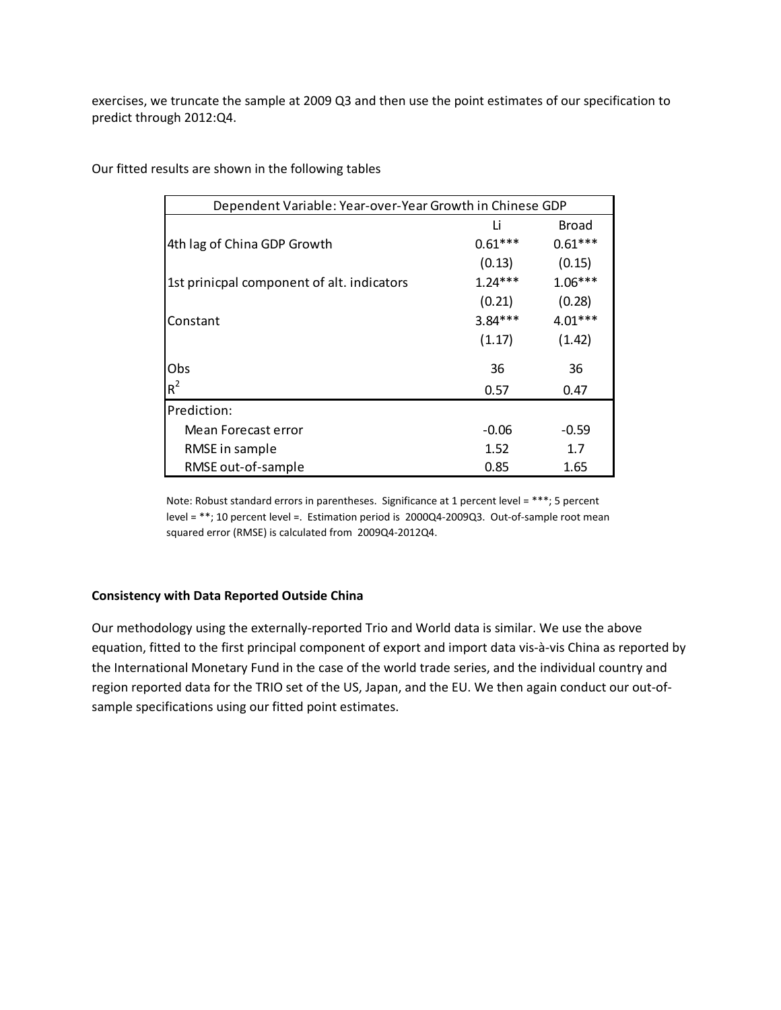exercises, we truncate the sample at 2009 Q3 and then use the point estimates of our specification to predict through 2012:Q4.

| Dependent Variable: Year-over-Year Growth in Chinese GDP |           |              |  |  |  |  |  |  |
|----------------------------------------------------------|-----------|--------------|--|--|--|--|--|--|
|                                                          | Li        | <b>Broad</b> |  |  |  |  |  |  |
| 4th lag of China GDP Growth                              | $0.61***$ | $0.61***$    |  |  |  |  |  |  |
|                                                          | (0.13)    | (0.15)       |  |  |  |  |  |  |
| 1st prinicpal component of alt. indicators               | $1.24***$ | $1.06***$    |  |  |  |  |  |  |
|                                                          | (0.21)    | (0.28)       |  |  |  |  |  |  |
| Constant                                                 | $3.84***$ | $4.01***$    |  |  |  |  |  |  |
|                                                          | (1.17)    | (1.42)       |  |  |  |  |  |  |
| Obs                                                      | 36        | 36           |  |  |  |  |  |  |
| $R^2$                                                    | 0.57      | 0.47         |  |  |  |  |  |  |
| Prediction:                                              |           |              |  |  |  |  |  |  |
| Mean Forecast error                                      | $-0.06$   | $-0.59$      |  |  |  |  |  |  |
| RMSE in sample                                           | 1.52      | 1.7          |  |  |  |  |  |  |
| RMSE out-of-sample                                       | 0.85      | 1.65         |  |  |  |  |  |  |

Our fitted results are shown in the following tables

Note: Robust standard errors in parentheses. Significance at 1 percent level = \*\*\*; 5 percent level = \*\*; 10 percent level =. Estimation period is 2000Q4-2009Q3. Out-of-sample root mean squared error (RMSE) is calculated from 2009Q4-2012Q4.

### **Consistency with Data Reported Outside China**

Our methodology using the externally-reported Trio and World data is similar. We use the above equation, fitted to the first principal component of export and import data vis-à-vis China as reported by the International Monetary Fund in the case of the world trade series, and the individual country and region reported data for the TRIO set of the US, Japan, and the EU. We then again conduct our out-ofsample specifications using our fitted point estimates.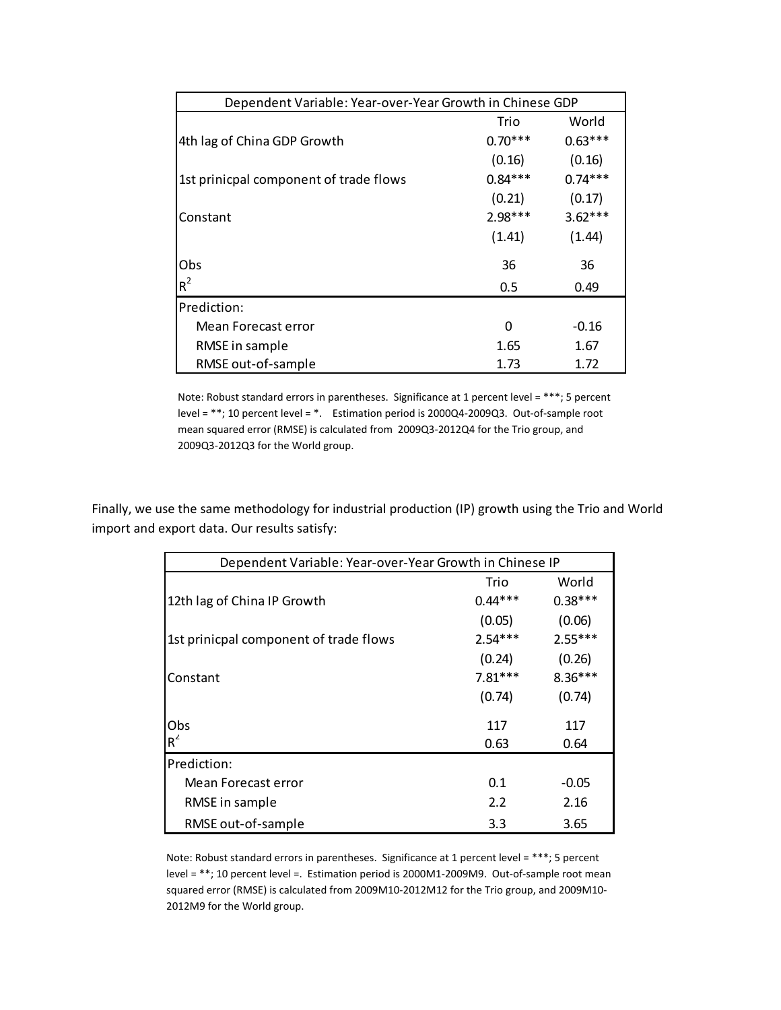| Dependent Variable: Year-over-Year Growth in Chinese GDP |           |           |  |  |  |  |  |
|----------------------------------------------------------|-----------|-----------|--|--|--|--|--|
|                                                          | Trio      | World     |  |  |  |  |  |
| 4th lag of China GDP Growth                              | $0.70***$ | $0.63***$ |  |  |  |  |  |
|                                                          | (0.16)    | (0.16)    |  |  |  |  |  |
| 1st prinicpal component of trade flows                   | $0.84***$ | $0.74***$ |  |  |  |  |  |
|                                                          | (0.21)    | (0.17)    |  |  |  |  |  |
| Constant                                                 | $2.98***$ | $3.62***$ |  |  |  |  |  |
|                                                          | (1.41)    | (1.44)    |  |  |  |  |  |
| Obs                                                      | 36        | 36        |  |  |  |  |  |
| $R^2$                                                    | 0.5       | 0.49      |  |  |  |  |  |
| Prediction:                                              |           |           |  |  |  |  |  |
| Mean Forecast error                                      | O         | $-0.16$   |  |  |  |  |  |
| RMSE in sample                                           | 1.65      | 1.67      |  |  |  |  |  |
| RMSE out-of-sample                                       | 1.73      | 1.72      |  |  |  |  |  |

Note: Robust standard errors in parentheses. Significance at 1 percent level = \*\*\*; 5 percent level = \*\*; 10 percent level = \*. Estimation period is 2000Q4-2009Q3. Out-of-sample root mean squared error (RMSE) is calculated from 2009Q3-2012Q4 for the Trio group, and 2009Q3-2012Q3 for the World group.

Finally, we use the same methodology for industrial production (IP) growth using the Trio and World import and export data. Our results satisfy:

| Dependent Variable: Year-over-Year Growth in Chinese IP |           |           |  |  |  |  |  |
|---------------------------------------------------------|-----------|-----------|--|--|--|--|--|
|                                                         | Trio      | World     |  |  |  |  |  |
| 12th lag of China IP Growth                             | $0.44***$ | $0.38***$ |  |  |  |  |  |
|                                                         | (0.05)    | (0.06)    |  |  |  |  |  |
| 1st prinicpal component of trade flows                  | $2.54***$ | $2.55***$ |  |  |  |  |  |
|                                                         | (0.24)    | (0.26)    |  |  |  |  |  |
| Constant                                                | $7.81***$ | $8.36***$ |  |  |  |  |  |
|                                                         | (0.74)    | (0.74)    |  |  |  |  |  |
| Obs                                                     | 117       | 117       |  |  |  |  |  |
| $R^2$                                                   | 0.63      | 0.64      |  |  |  |  |  |
| Prediction:                                             |           |           |  |  |  |  |  |
| Mean Forecast error                                     | 0.1       | $-0.05$   |  |  |  |  |  |
| RMSE in sample                                          | 2.2       | 2.16      |  |  |  |  |  |
| RMSE out-of-sample                                      | 3.3       | 3.65      |  |  |  |  |  |

Note: Robust standard errors in parentheses. Significance at 1 percent level = \*\*\*; 5 percent level = \*\*; 10 percent level =. Estimation period is 2000M1-2009M9. Out-of-sample root mean squared error (RMSE) is calculated from 2009M10-2012M12 for the Trio group, and 2009M10- 2012M9 for the World group.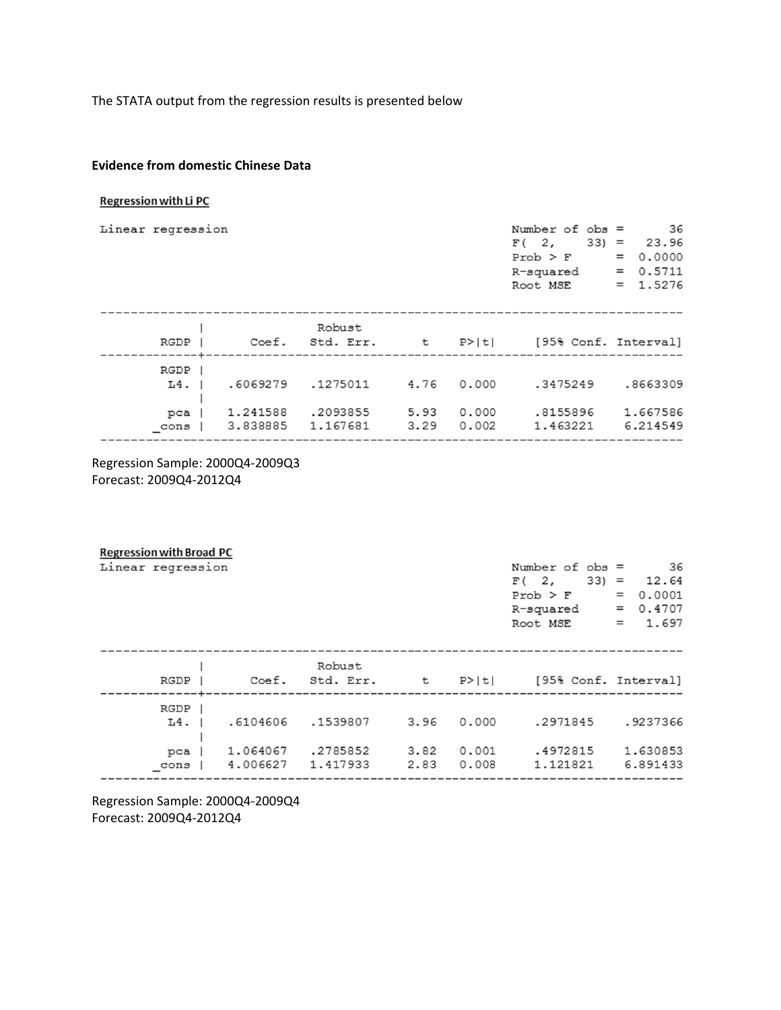The STATA output from the regression results is presented below

### **Evidence from domestic Chinese Data**

#### Regression with Li PC

| Linear regression                           |                                  |                                  |                      |                         | Number of $obs =$<br>$33) =$<br>F(2,<br>$Prob$ > $F$<br>R-squared<br>Root MSE | 36<br>23.96<br>0.0000<br>$=$<br>0.5711<br>$=$<br>$= 1.5276$ |
|---------------------------------------------|----------------------------------|----------------------------------|----------------------|-------------------------|-------------------------------------------------------------------------------|-------------------------------------------------------------|
| RGDP                                        | Coef.                            | Robust<br>Std. Err.              | t.                   | P>ltl                   | [95% Conf. Interval]                                                          |                                                             |
| RGDP<br>$L4.$ $\blacksquare$<br>pca<br>cons | .6069279<br>1.241588<br>3.838885 | .1275011<br>.2093855<br>1.167681 | 4.76<br>5.93<br>3.29 | 0.000<br>0.000<br>0.002 | .3475249<br>.8155896<br>1.463221                                              | .8663309<br>1.667586<br>6.214549                            |

Regression Sample: 2000Q4-2009Q3 Forecast: 2009Q4-2012Q4

| <b>Regression with Broad PC</b> |          |                 |      |       |                      |                  |
|---------------------------------|----------|-----------------|------|-------|----------------------|------------------|
| Linear regression               |          |                 |      |       | Number of $obs =$    | 36               |
|                                 |          |                 |      |       | F(2,                 | $33) =$<br>12.64 |
|                                 |          |                 |      |       | $Prob$ > $F$         | 0.0001<br>$=$    |
|                                 |          |                 |      |       | R-squared            | 0.4707<br>$=$    |
|                                 |          |                 |      |       | Root MSE             | 1.697<br>$=$     |
|                                 |          |                 |      |       |                      |                  |
|                                 |          | Robust          |      |       |                      |                  |
| RGDP                            |          | Coef. Std. Err. | セー   | P>iti | [95% Conf. Interval] |                  |
| RGDP                            |          |                 |      |       |                      |                  |
| $L4.$                           | .6104606 | .1539807        | 3.96 | 0.000 | .2971845             | .9237366         |
|                                 |          |                 |      |       |                      |                  |
| $pca$                           | 1.064067 | .2785852        | 3.82 | 0.001 | .4972815             | 1.630853         |
| cons                            | 4.006627 | 1.417933        | 2.83 | 0.008 | 1.121821             | 6.891433         |
|                                 |          |                 |      |       |                      |                  |

Regression Sample: 2000Q4-2009Q4 Forecast: 2009Q4-2012Q4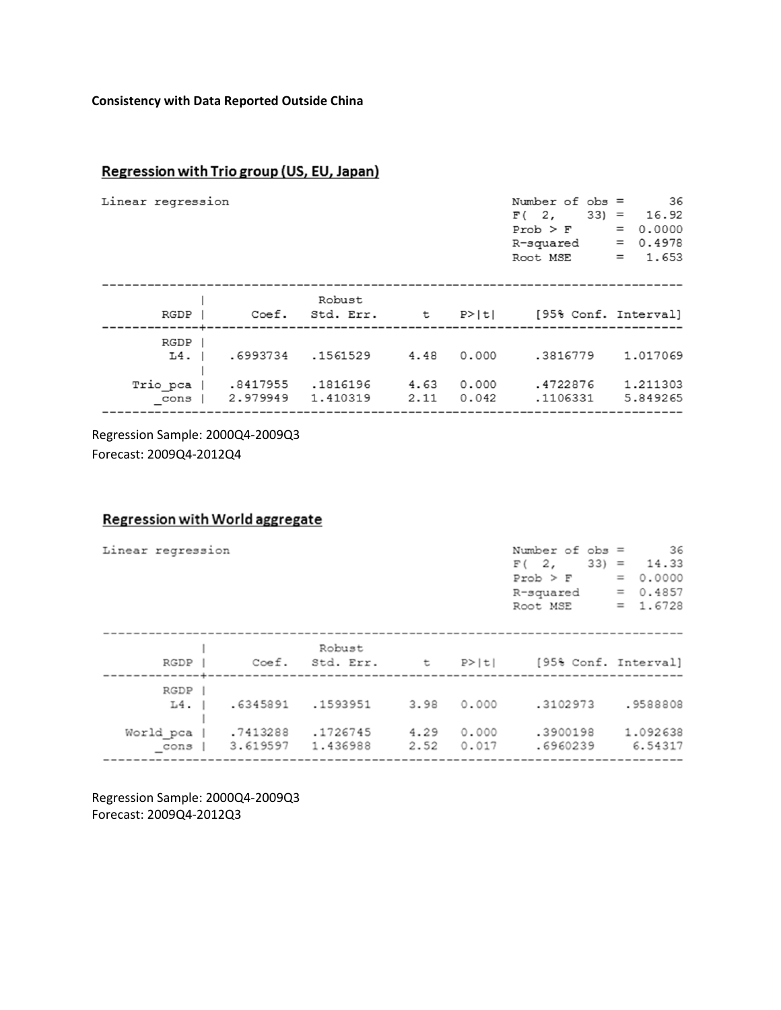## **Consistency with Data Reported Outside China**

# Regression with Trio group (US, EU, Japan)

| Linear regression |                                |                      |                           |              |                | Number of $obs =$<br>F(2,<br>$Prob$ > $F$<br>R-squared<br>Root MSE | -36<br>$33) = 16.92$<br>0.0000<br>$=$<br>0.4978<br>$=$<br>1.653<br>$=$ |
|-------------------|--------------------------------|----------------------|---------------------------|--------------|----------------|--------------------------------------------------------------------|------------------------------------------------------------------------|
|                   | RGDP                           |                      | Robust<br>Coef. Std. Err. | t            | P>iti          | [95% Conf. Interval]                                               |                                                                        |
|                   | RGDP  <br>$L4.$ $\blacksquare$ | .6993734             | .1561529                  | 4.48         | 0.000          | .3816779                                                           | 1,017069                                                               |
|                   | Trio_pca  <br>cons             | .8417955<br>2.979949 | .1816196<br>1.410319      | 4.63<br>2.11 | 0.000<br>0.042 | .4722876<br>.1106331                                               | 1.211303<br>5.849265                                                   |

Regression Sample: 2000Q4-2009Q3 Forecast: 2009Q4-2012Q4

# **Regression with World aggregate**

| Linear regression    |          |                 |      |       | Number of $obs =$<br>F(2,<br>$Prob$ > $F$<br>R-squared<br>Root MSE | 36<br>$33 = 14.33$<br>$= 0.0000$<br>$= 0.4857$<br>$= 1.6728$ |
|----------------------|----------|-----------------|------|-------|--------------------------------------------------------------------|--------------------------------------------------------------|
|                      |          |                 |      |       |                                                                    |                                                              |
|                      |          | Robust          |      |       |                                                                    |                                                              |
| RGDP                 |          | Coef. Std. Err. |      |       | t P> t  [95% Conf. Interval]                                       |                                                              |
|                      |          |                 |      |       |                                                                    |                                                              |
| RGDP                 |          |                 |      |       |                                                                    |                                                              |
| $L4.$ $\blacksquare$ | .6345891 | .1593951        | 3.98 | 0.000 | .3102973                                                           | .9588808                                                     |
|                      |          |                 |      |       |                                                                    |                                                              |
| World_pca            | .7413288 | .1726745        | 4.29 | 0.000 | .3900198                                                           | 1.092638                                                     |
| cons                 | 3.619597 | 1.436988        | 2.52 | 0.017 | .6960239                                                           | 6.54317                                                      |
|                      |          |                 |      |       |                                                                    |                                                              |

Regression Sample: 2000Q4-2009Q3 Forecast: 2009Q4-2012Q3